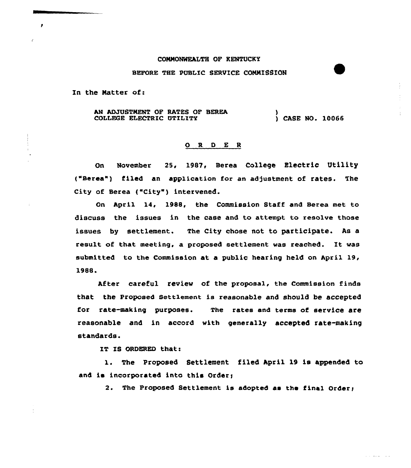# CONNONNEALTH OF KENTUCKY

### BEFORE THE PUBLIC SERVICE CONNISSION

In the Natter of:

 $\mathbf{r}$ 

AM ADJUSTMENT OF RATES OF BEREA COLLEGE ELECTRIC UTILITY ) ) CASE NO. 10066

#### 0 <sup>R</sup> <sup>D</sup> <sup>E</sup> <sup>R</sup>

On November 25, 1987, Berea College Electric Utility ("Berea") filed an application for an adjustment of rates. The City of Berea ("City") intervened.

On April 14, 1988, the Commission Staff and Berea met to discuss the issues in the case and to attempt to resolve those issues by settlement. The City chose not to participate. As a result of that meeting, a proposed settlement was reached. It was submitted to the Commission at a public hearing held on April 19, 1988.

After careful review of the proposal, the Commission finds that the Proposed Settlement is reasonable and should be accepted for rate-making purposes. The rates and terms of service are reasonable and in accord with generally accepted rate-making standards.

IT IS ORDERED that:

1. The Proposed Settlement filed April <sup>19</sup> is appended to and is incorporated into this Order;

2. The Proposed Settlement is adopted as the final Order;

 $\mathcal{L}^{\mathcal{A}}$  and  $\mathcal{L}^{\mathcal{A}}$  and  $\mathcal{L}^{\mathcal{A}}$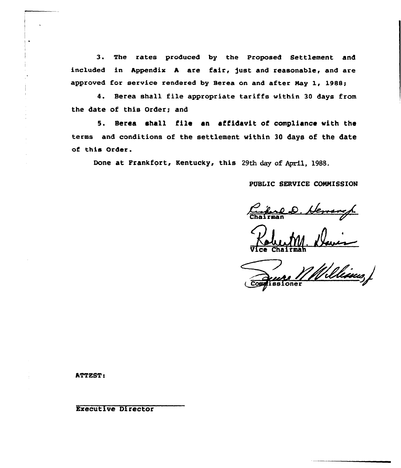3. The rates produced by the Proposed Settlement and included in Appendix A are fair, just and reasonable, and are approved for service rendered by Serea on and after Nay 1, 198S;

4. Berea shall file appropriate tariffs within 30 days from the date of this Order; and

5. Berea shall file an affidavit of compliance with the terms and conditions of the settlement within 30 days of the date of this Order.

Done at Frankfort, Kentucky, this 29th day of April, 1988.

PUBLIC SERVICE COMNISSION

Chairman D. Herrarch

Vice Chairma

Williams, oner

ATTEST:

Executive Director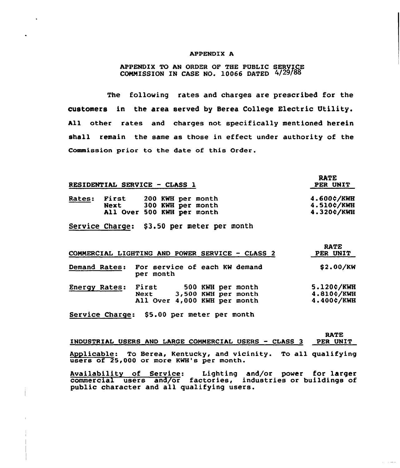# APPENDIX A

APPENDIX TO AN ORDER OF THE PUBLIC SERVICE  $COMMISSION IN CASE NO. 10066 DATED 4/29/8$ 

The following rates and charges are prescribed for the customers in the area served by Berea College Electric Utility. All other rates and charges not specifically mentioned herein shall remain the same as those in effect under authority of the Commission prior to the date of this Order.

|               |               | <b>RESIDENTIAL SERVICE - CLASS 1</b>                                 | RATE.<br>PER UNIT                      |
|---------------|---------------|----------------------------------------------------------------------|----------------------------------------|
| <b>Rates:</b> | First<br>Next | 200 KWH per month<br>300 KWH per month<br>All Over 500 KWH per month | 4.600¢/KWH<br>4.510¢/KWH<br>4.320¢/KWH |
|               |               |                                                                      |                                        |

RATE

Service Charge: \$3.50 per meter per month

|               |               | COMMERCIAL LIGHTING AND POWER SERVICE - CLASS 2                          | <b>RATE</b><br>PER UNIT                |
|---------------|---------------|--------------------------------------------------------------------------|----------------------------------------|
| Demand Rates: | per month     | For service of each KW demand                                            | \$2.00/KW                              |
| Energy Rates: | First<br>Next | 500 KWH per month<br>3,500 KWH per month<br>All Over 4,000 KWH per month | 5.120¢/KWH<br>4.810¢/KWH<br>4.400¢/KWH |

Service Charge: \$5.00 per meter per month

| INDUSTRIAL USERS AND LARGE COMMERCIAL USERS - CLASS 3                                                       | <b>RATE</b><br>PER UNIT |
|-------------------------------------------------------------------------------------------------------------|-------------------------|
| Applicable: To Berea, Kentucky, and vicinity. To all qualifying<br>users of 25,000 or more KWH's per month. |                         |
| Availability of Service: Lighting and/or power for larger                                                   |                         |

commercial users and/or factories, industries or buildings of public character and all qualifying users.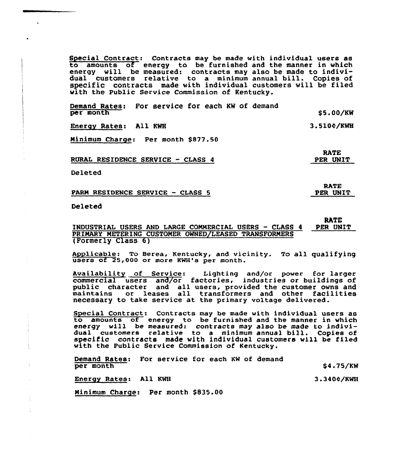Special Contract: Contracts may be made with individual users as to amounts of energy to be furnished and the manner in which energy will be measured: contracts may also be made to indivi-dual customers relative to <sup>a</sup> minimum annual bill. Copies of specific contracts made with individual customers will be filed with the Public Service Commission of Kentucky.

Demand Rates: For service for each KW of demand per month Energy Rates: All KWH Ninimum Charge: Per month \$877.50 \$5.00/KW 3.510¢/KWH

> RATE PER UNIT

RATE PER UNIT

3.340¢/KWH

RURAL RESIDENCE SERVICE —CLASS 4

Deleted

PARN RESIDENCE SERVICE —CLASS 5

Deleted

# RATE<br>PER UNIT INDUSTRIAL USERS AND LARGE COMMERCIAL USERS - CLASS 4 PRINARX NETERING CUSTONER OWNED/LEASED TRANSFORNERS (Formerly Class 6)

Applicable: To Berea, Kentucky, and vicinity. To all qualifying users of 25,000 or more KWH's per month.

Availability of Service: Lighting and/or power for large commercial users and/or factories, industries or buildings of public character and all users, provided the customer owns and public character and all users, provided the customer owns an necessary to take service at the primary voltage delivered.

Special Contract: Contracts may be made with individual users as to amounts of energy to be furnished and the manner in which energy will be measured: contracts may also be made to individual customers relative to <sup>a</sup> minimum annual bill. Copies of specific contracts made with individual customers will be filed with the Public Service Commission of Kentucky.

Demand Rates: For service for each KW of demand per month \$4.75/KW

Energy Rates: All KWH

Ninimum Charge: Per month \$835.00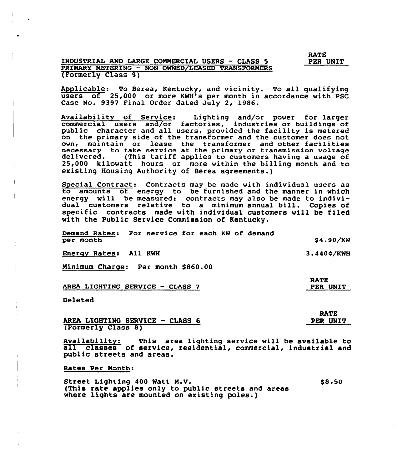RATE PER UNIT

# INDUSTRIAL AND LARGE COMMERCIAL USERS — CLASS 5 PRIMARY METERING — NON OWNED/LEASED TRANSFORMERS (Formerly Class 9)

Applicable: To Berea, Kentucky, and vicinity. To all qualifying users of 25,000 or more KWH's per month in accordance with PSC Case No. 9397 Final Order dated July 2, 1986.

Availability of Service: Lighting and/or power for large commercial users and/or factories, industries or buildings of public character and all users, provided the facility is metered on the primary side of the transformer and the customer does not own, maintain or lease the transformer and other facilities necessary to take service at the primary or transmission voltage<br>delivered. (This tariff applies to customers having a usage of 25,000 kilowatt hours or more within the billing month and to existing Housing Authority of Berea agreements.)

Special Contract: Contracts may be made with individual users as to amounts of energy to be furnished and the manner in which energy will be measured: contracts may also be made to individual customers relative to a minimum annual bill. Copies of specific contracts made with individual customers will be filed with the Public Service Commission of Kentucky.

Demand Rates: For service for each KW of demand per month \$4.90/KW

Energy Rates: All KWH

Minimum Charge: Per month \$860.00

AREA LIGHTING SERVICE —CIASS 7

Deleted

AREA LIGHTING SERVICE - CLASS <sup>6</sup> (Formerly Class 8)

Availability: This area lighting service will be available to all classes of service, residential, commercial, industrial and public streets and areas.

Rates Per Month:

Street Lighting 400 Watt N.V. (This rate applies only to public streets and areas where lights are mounted on existing poles.) pe 50

RATE

PER UNIT

3.4404'/KWH

RATE PER UNIT